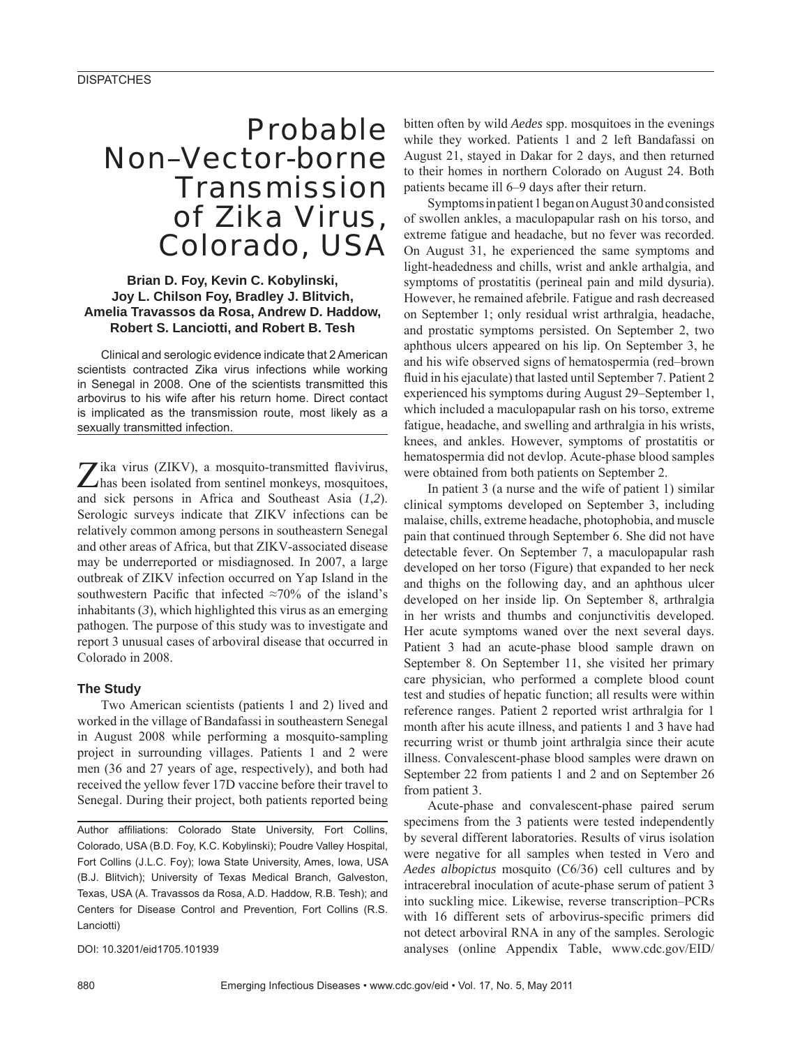# Probable Non–Vector-borne **Transmission** of Zika Virus, Colorado, USA

## **Brian D. Foy, Kevin C. Kobylinski, Joy L. Chilson Foy, Bradley J. Blitvich, Amelia Travassos da Rosa, Andrew D. Haddow, Robert S. Lanciotti, and Robert B. Tesh**

Clinical and serologic evidence indicate that 2 American scientists contracted Zika virus infections while working in Senegal in 2008. One of the scientists transmitted this arbovirus to his wife after his return home. Direct contact is implicated as the transmission route, most likely as a sexually transmitted infection.

Zika virus (ZIKV), a mosquito-transmitted flavivirus, has been isolated from sentinel monkeys, mosquitoes, and sick persons in Africa and Southeast Asia (*1*,*2*). Serologic surveys indicate that ZIKV infections can be relatively common among persons in southeastern Senegal and other areas of Africa, but that ZIKV-associated disease may be underreported or misdiagnosed. In 2007, a large outbreak of ZIKV infection occurred on Yap Island in the southwestern Pacific that infected  $\approx 70\%$  of the island's inhabitants (*3*), which highlighted this virus as an emerging pathogen. The purpose of this study was to investigate and report 3 unusual cases of arboviral disease that occurred in Colorado in 2008.

## **The Study**

Two American scientists (patients 1 and 2) lived and worked in the village of Bandafassi in southeastern Senegal in August 2008 while performing a mosquito-sampling project in surrounding villages. Patients 1 and 2 were men (36 and 27 years of age, respectively), and both had received the yellow fever 17D vaccine before their travel to Senegal. During their project, both patients reported being

Author affiliations: Colorado State University, Fort Collins, Colorado, USA (B.D. Foy, K.C. Kobylinski); Poudre Valley Hospital, Fort Collins (J.L.C. Foy); Iowa State University, Ames, Iowa, USA (B.J. Blitvich); University of Texas Medical Branch, Galveston, Texas, USA (A. Travassos da Rosa, A.D. Haddow, R.B. Tesh); and Centers for Disease Control and Prevention, Fort Collins (R.S. Lanciotti)

DOI: 10.3201/eid1705.101939

bitten often by wild *Aedes* spp. mosquitoes in the evenings while they worked. Patients 1 and 2 left Bandafassi on August 21, stayed in Dakar for 2 days, and then returned to their homes in northern Colorado on August 24. Both patients became ill 6–9 days after their return.

Symptoms in patient 1 began on August 30 and consisted of swollen ankles, a maculopapular rash on his torso, and extreme fatigue and headache, but no fever was recorded. On August 31, he experienced the same symptoms and light-headedness and chills, wrist and ankle arthalgia, and symptoms of prostatitis (perineal pain and mild dysuria). However, he remained afebrile. Fatigue and rash decreased on September 1; only residual wrist arthralgia, headache, and prostatic symptoms persisted. On September 2, two aphthous ulcers appeared on his lip. On September 3, he and his wife observed signs of hematospermia (red–brown fluid in his ejaculate) that lasted until September 7. Patient 2 experienced his symptoms during August 29–September 1, which included a maculopapular rash on his torso, extreme fatigue, headache, and swelling and arthralgia in his wrists, knees, and ankles. However, symptoms of prostatitis or hematospermia did not devlop. Acute-phase blood samples were obtained from both patients on September 2.

In patient 3 (a nurse and the wife of patient 1) similar clinical symptoms developed on September 3, including malaise, chills, extreme headache, photophobia, and muscle pain that continued through September 6. She did not have detectable fever. On September 7, a maculopapular rash developed on her torso (Figure) that expanded to her neck and thighs on the following day, and an aphthous ulcer developed on her inside lip. On September 8, arthralgia in her wrists and thumbs and conjunctivitis developed. Her acute symptoms waned over the next several days. Patient 3 had an acute-phase blood sample drawn on September 8. On September 11, she visited her primary care physician, who performed a complete blood count test and studies of hepatic function; all results were within reference ranges. Patient 2 reported wrist arthralgia for 1 month after his acute illness, and patients 1 and 3 have had recurring wrist or thumb joint arthralgia since their acute illness. Convalescent-phase blood samples were drawn on September 22 from patients 1 and 2 and on September 26 from patient 3.

Acute-phase and convalescent-phase paired serum specimens from the 3 patients were tested independently by several different laboratories. Results of virus isolation were negative for all samples when tested in Vero and *Aedes albopictus* mosquito (C6/36) cell cultures and by intracerebral inoculation of acute-phase serum of patient 3 into suckling mice. Likewise, reverse transcription–PCRs with 16 different sets of arbovirus-specific primers did not detect arboviral RNA in any of the samples. Serologic analyses (online Appendix Table, www.cdc.gov/EID/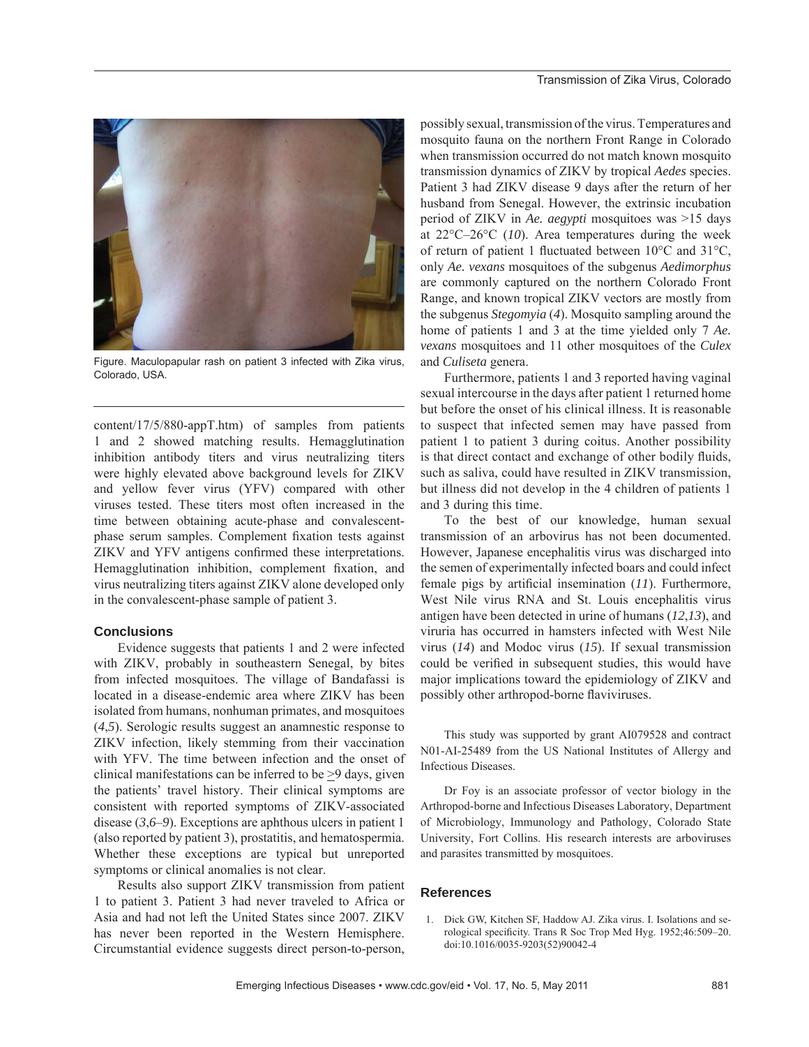

Figure. Maculopapular rash on patient 3 infected with Zika virus, Colorado, USA.

content/17/5/880-appT.htm) of samples from patients 1 and 2 showed matching results. Hemagglutination inhibition antibody titers and virus neutralizing titers were highly elevated above background levels for ZIKV and yellow fever virus (YFV) compared with other viruses tested. These titers most often increased in the time between obtaining acute-phase and convalescentphase serum samples. Complement fixation tests against ZIKV and YFV antigens confirmed these interpretations. Hemagglutination inhibition, complement fixation, and virus neutralizing titers against ZIKV alone developed only in the convalescent-phase sample of patient 3.

#### **Conclusions**

Evidence suggests that patients 1 and 2 were infected with ZIKV, probably in southeastern Senegal, by bites from infected mosquitoes. The village of Bandafassi is located in a disease-endemic area where ZIKV has been isolated from humans, nonhuman primates, and mosquitoes (*4*,*5*). Serologic results suggest an anamnestic response to ZIKV infection, likely stemming from their vaccination with YFV. The time between infection and the onset of clinical manifestations can be inferred to be  $\geq$ 9 days, given the patients' travel history. Their clinical symptoms are consistent with reported symptoms of ZIKV-associated disease (*3*,*6*–*9*). Exceptions are aphthous ulcers in patient 1 (also reported by patient 3), prostatitis, and hematospermia. Whether these exceptions are typical but unreported symptoms or clinical anomalies is not clear.

Results also support ZIKV transmission from patient 1 to patient 3. Patient 3 had never traveled to Africa or Asia and had not left the United States since 2007. ZIKV has never been reported in the Western Hemisphere. Circumstantial evidence suggests direct person-to-person, possibly sexual, transmission of the virus. Temperatures and mosquito fauna on the northern Front Range in Colorado when transmission occurred do not match known mosquito transmission dynamics of ZIKV by tropical *Aedes* species. Patient 3 had ZIKV disease 9 days after the return of her husband from Senegal. However, the extrinsic incubation period of ZIKV in *Ae. aegypti* mosquitoes was >15 days at 22°C–26°C (*10*). Area temperatures during the week of return of patient 1 fluctuated between  $10^{\circ}$ C and  $31^{\circ}$ C, only *Ae. vexans* mosquitoes of the subgenus *Aedimorphus* are commonly captured on the northern Colorado Front Range, and known tropical ZIKV vectors are mostly from the subgenus *Stegomyia* (*4*). Mosquito sampling around the home of patients 1 and 3 at the time yielded only 7 *Ae. vexans* mosquitoes and 11 other mosquitoes of the *Culex* and *Culiseta* genera.

Furthermore, patients 1 and 3 reported having vaginal sexual intercourse in the days after patient 1 returned home but before the onset of his clinical illness. It is reasonable to suspect that infected semen may have passed from patient 1 to patient 3 during coitus. Another possibility is that direct contact and exchange of other bodily fluids, such as saliva, could have resulted in ZIKV transmission, but illness did not develop in the 4 children of patients 1 and 3 during this time.

To the best of our knowledge, human sexual transmission of an arbovirus has not been documented. However, Japanese encephalitis virus was discharged into the semen of experimentally infected boars and could infect female pigs by artificial insemination  $(11)$ . Furthermore, West Nile virus RNA and St. Louis encephalitis virus antigen have been detected in urine of humans (*12*,*13*), and viruria has occurred in hamsters infected with West Nile virus (*14*) and Modoc virus (*15*). If sexual transmission could be verified in subsequent studies, this would have major implications toward the epidemiology of ZIKV and possibly other arthropod-borne flaviviruses.

This study was supported by grant AI079528 and contract N01-AI-25489 from the US National Institutes of Allergy and Infectious Diseases.

Dr Foy is an associate professor of vector biology in the Arthropod-borne and Infectious Diseases Laboratory, Department of Microbiology, Immunology and Pathology, Colorado State University, Fort Collins. His research interests are arboviruses and parasites transmitted by mosquitoes.

### **References**

 1. Dick GW, Kitchen SF, Haddow AJ. Zika virus. I. Isolations and serological specificity. Trans R Soc Trop Med Hyg. 1952;46:509-20. doi:10.1016/0035-9203(52)90042-4